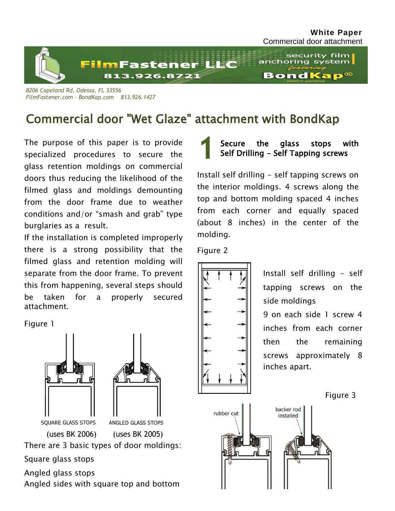

*8206 Copeland Rd, Odessa, FL 33556 FilmFastener.com - BondKap.com 813.926.1427*

# Commercial door "Wet Glaze" attachment with BondKap

The purpose of this paper is to provide specialized procedures to secure the glass retention moldings on commercial doors thus reducing the likelihood of the filmed glass and moldings demounting from the door frame due to weather conditions and/or "smash and grab" type burglaries as a result.

If the installation is completed improperly there is a strong possibility that the filmed glass and retention molding will separate from the door frame. To prevent this from happening, several steps should be taken for a properly secured attachment.

Figure 1





(uses BK 2006) (uses BK 2005)

There are 3 basic types of door moldings:

Square glass stops

Angled glass stops

Angled sides with square top and bottom

**1** Secure the glass stops with Self Drilling - Self Tapping screws

Install self drilling - self tapping screws on the interior moldings. 4 screws along the top and bottom molding spaced 4 inches from each corner and equally spaced (about 8 inches) in the center of the molding.

Figure 2



Install self drilling - self tapping screws on the side moldings 9 on each side 1 screw 4

inches from each corner then the remaining screws approximately 8 inches apart.

Figure 3